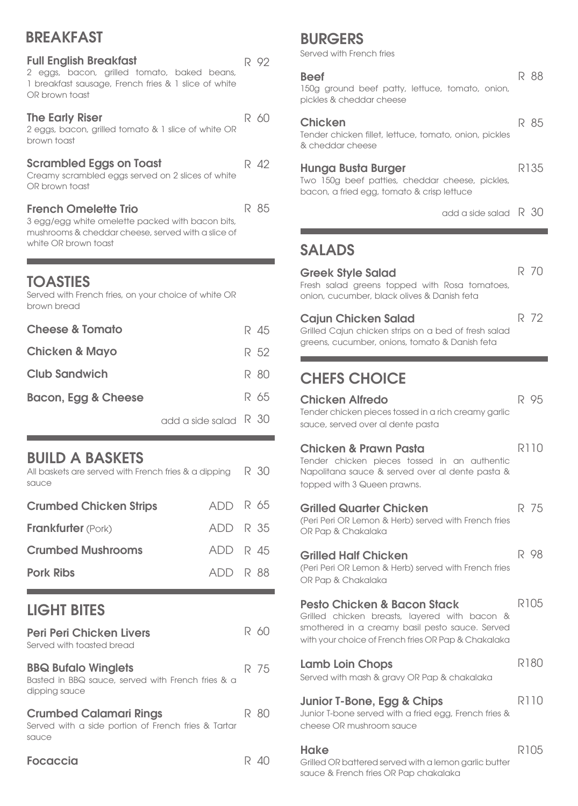## **BREAKFAST**

| <b>Full English Breakfast</b><br>2 eggs, bacon, grilled tomato, baked beans,<br>1 breakfast sausage, French fries & 1 slice of white<br>OR brown toast        |   | R 92 |
|---------------------------------------------------------------------------------------------------------------------------------------------------------------|---|------|
| <b>The Early Riser</b><br>2 eggs, bacon, grilled tomato & 1 slice of white OR<br>brown toast                                                                  | R | 60   |
| <b>Scrambled Eggs on Toast</b><br>Creamy scrambled eggs served on 2 slices of white<br>OR brown toast                                                         |   | R 42 |
| <b>French Omelette Trio</b><br>3 egg/egg white omelette packed with bacon bits,<br>mushrooms & cheddar cheese, served with a slice of<br>white OR brown toast |   | R 85 |

## **TOASTIES**

Served with French fries, on your choice of white OR brown bread

| <b>Cheese &amp; Tomato</b> |  | R 45 |
|----------------------------|--|------|
| <b>Chicken &amp; Mayo</b>  |  | R 52 |
| <b>Club Sandwich</b>       |  | R 80 |
| Bacon, Egg & Cheese        |  | R 65 |
|                            |  |      |

### BUILD A BASKETS

| All baskets are served with French fries & a dipping $\Box$ R $\Box$ 30<br>sauce |              |  |
|----------------------------------------------------------------------------------|--------------|--|
| <b>Crumbed Chicken Strips</b>                                                    | $ADD$ R $65$ |  |
| <b>Frankfurter</b> (Pork)                                                        | ADD R 35     |  |
| <b>Crumbed Mushrooms</b>                                                         | ADD R 45     |  |
| <b>Pork Ribs</b>                                                                 | ADD R 88     |  |

## LIGHT BITES

| <b>Peri Peri Chicken Livers</b><br>Served with toasted bread                                     |    | 15 YU |
|--------------------------------------------------------------------------------------------------|----|-------|
| <b>BBQ Bufalo Winglets</b><br>Basted in BBQ sauce, served with French fries & a<br>dipping sauce |    | R 75  |
| <b>Crumbed Calamari Rings</b><br>Served with a side portion of French fries & Tartar<br>sauce    | R. | 80    |
| Focaccia                                                                                         |    |       |

## BURGERS

Served with French fries

|  | round beef patty, lettuce, tomc |  |
|--|---------------------------------|--|

**Beef**<br>150g gr ato, onion, pickles & cheddar cheese

#### Chicken

Tender chicken fillet, lettuce, tomato, onion, pickles & cheddar cheese

#### Hunga Busta Burger

Two 150g beef patties, cheddar cheese, pickles, bacon, a fried egg, tomato & crisp lettuce

add a side salad R 30

R 88

R 85

R135

R 72

## SALADS

Greek Style Salad Fresh salad greens topped with Rosa tomatoes, onion, cucumber, black olives & Danish feta R 70

#### Cajun Chicken Salad

Grilled Cajun chicken strips on a bed of fresh salad greens, cucumber, onions, tomato & Danish feta

# CHEFS CHOICE

| <b>Chicken Alfredo</b>                                                                                                                                                                            | R 95        |
|---------------------------------------------------------------------------------------------------------------------------------------------------------------------------------------------------|-------------|
| Tender chicken pieces tossed in a rich creamy garlic                                                                                                                                              |             |
| sauce, served over al dente pasta                                                                                                                                                                 |             |
| <b>Chicken &amp; Prawn Pasta</b><br>Tender chicken pieces tossed in an authentic<br>Napolitana sauce & served over al dente pasta &<br>topped with 3 Queen prawns.                                | <b>R110</b> |
| <b>Grilled Quarter Chicken</b><br>(Peri Peri OR Lemon & Herb) served with French fries<br>OR Pap & Chakalaka                                                                                      | R 75        |
| <b>Grilled Half Chicken</b><br>(Peri Peri OR Lemon & Herb) served with French fries<br>OR Pap & Chakalaka                                                                                         | R 98        |
| <b>Pesto Chicken &amp; Bacon Stack</b><br>Grilled chicken breasts, layered with bacon &<br>smothered in a creamy basil pesto sauce. Served<br>with your choice of French fries OR Pap & Chakalaka | R105        |
| <b>Lamb Loin Chops</b><br>Served with mash & gravy OR Pap & chakalaka                                                                                                                             | R180        |
| Junior T-Bone, Egg & Chips<br>Junior T-bone served with a fried egg, French fries &<br>cheese OR mushroom sauce                                                                                   | <b>R110</b> |
| <b>Hake</b><br>Grilled OR battered served with a lemon garlic butter<br>sauce & French fries OR Pap chakalaka                                                                                     | R105        |